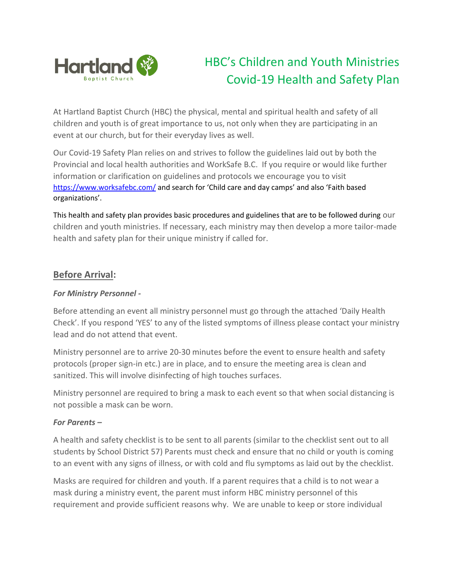

# HBC's Children and Youth Ministries Covid-19 Health and Safety Plan

At Hartland Baptist Church (HBC) the physical, mental and spiritual health and safety of all children and youth is of great importance to us, not only when they are participating in an event at our church, but for their everyday lives as well.

Our Covid-19 Safety Plan relies on and strives to follow the guidelines laid out by both the Provincial and local health authorities and WorkSafe B.C. If you require or would like further information or clarification on guidelines and protocols we encourage you to visit <https://www.worksafebc.com/> and search for 'Child care and day camps' and also 'Faith based organizations'.

This health and safety plan provides basic procedures and guidelines that are to be followed during our children and youth ministries. If necessary, each ministry may then develop a more tailor-made health and safety plan for their unique ministry if called for.

## **Before Arrival:**

## *For Ministry Personnel -*

Before attending an event all ministry personnel must go through the attached 'Daily Health Check'. If you respond 'YES' to any of the listed symptoms of illness please contact your ministry lead and do not attend that event.

Ministry personnel are to arrive 20-30 minutes before the event to ensure health and safety protocols (proper sign-in etc.) are in place, and to ensure the meeting area is clean and sanitized. This will involve disinfecting of high touches surfaces.

Ministry personnel are required to bring a mask to each event so that when social distancing is not possible a mask can be worn.

## *For Parents –*

A health and safety checklist is to be sent to all parents (similar to the checklist sent out to all students by School District 57) Parents must check and ensure that no child or youth is coming to an event with any signs of illness, or with cold and flu symptoms as laid out by the checklist.

Masks are required for children and youth. If a parent requires that a child is to not wear a mask during a ministry event, the parent must inform HBC ministry personnel of this requirement and provide sufficient reasons why. We are unable to keep or store individual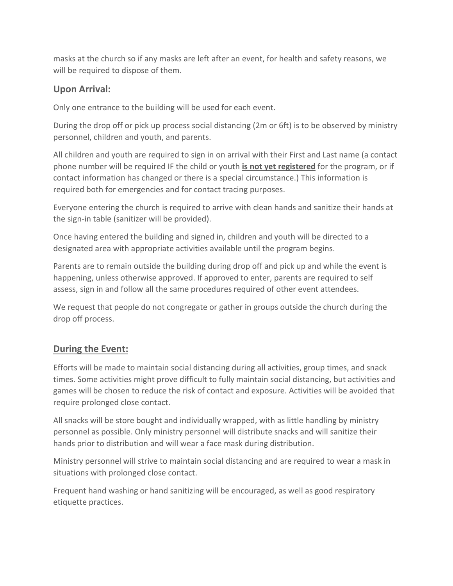masks at the church so if any masks are left after an event, for health and safety reasons, we will be required to dispose of them.

## **Upon Arrival:**

Only one entrance to the building will be used for each event.

During the drop off or pick up process social distancing (2m or 6ft) is to be observed by ministry personnel, children and youth, and parents.

All children and youth are required to sign in on arrival with their First and Last name (a contact phone number will be required IF the child or youth **is not yet registered** for the program, or if contact information has changed or there is a special circumstance.) This information is required both for emergencies and for contact tracing purposes.

Everyone entering the church is required to arrive with clean hands and sanitize their hands at the sign-in table (sanitizer will be provided).

Once having entered the building and signed in, children and youth will be directed to a designated area with appropriate activities available until the program begins.

Parents are to remain outside the building during drop off and pick up and while the event is happening, unless otherwise approved. If approved to enter, parents are required to self assess, sign in and follow all the same procedures required of other event attendees.

We request that people do not congregate or gather in groups outside the church during the drop off process.

# **During the Event:**

Efforts will be made to maintain social distancing during all activities, group times, and snack times. Some activities might prove difficult to fully maintain social distancing, but activities and games will be chosen to reduce the risk of contact and exposure. Activities will be avoided that require prolonged close contact.

All snacks will be store bought and individually wrapped, with as little handling by ministry personnel as possible. Only ministry personnel will distribute snacks and will sanitize their hands prior to distribution and will wear a face mask during distribution.

Ministry personnel will strive to maintain social distancing and are required to wear a mask in situations with prolonged close contact.

Frequent hand washing or hand sanitizing will be encouraged, as well as good respiratory etiquette practices.